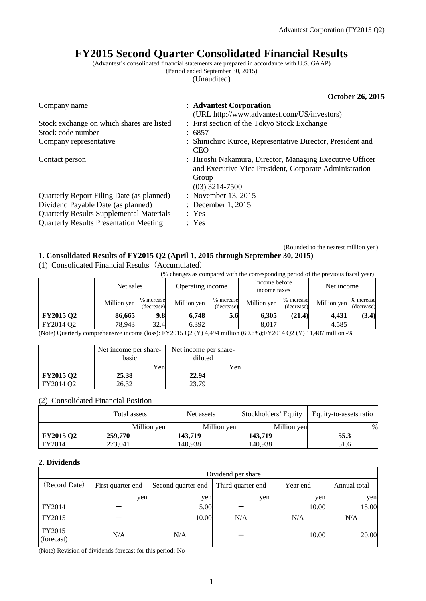# **FY2015 Second Quarter Consolidated Financial Results**

(Advantest's consolidated financial statements are prepared in accordance with U.S. GAAP)

(Period ended September 30, 2015)

(Unaudited)

|                                                 | <b>October 26, 2015</b>                                                                                                                         |
|-------------------------------------------------|-------------------------------------------------------------------------------------------------------------------------------------------------|
| Company name                                    | : Advantest Corporation                                                                                                                         |
|                                                 | (URL http://www.advantest.com/US/investors)                                                                                                     |
| Stock exchange on which shares are listed       | : First section of the Tokyo Stock Exchange                                                                                                     |
| Stock code number                               | : 6857                                                                                                                                          |
| Company representative                          | : Shinichiro Kuroe, Representative Director, President and<br><b>CEO</b>                                                                        |
| Contact person                                  | : Hiroshi Nakamura, Director, Managing Executive Officer<br>and Executive Vice President, Corporate Administration<br>Group<br>$(03)$ 3214-7500 |
| Quarterly Report Filing Date (as planned)       | : November 13, 2015                                                                                                                             |
| Dividend Payable Date (as planned)              | : December 1, 2015                                                                                                                              |
| <b>Quarterly Results Supplemental Materials</b> | : Yes                                                                                                                                           |
| <b>Quarterly Results Presentation Meeting</b>   | : Yes                                                                                                                                           |

#### (Rounded to the nearest million yen) **1. Consolidated Results of FY2015 Q2 (April 1, 2015 through September 30, 2015)**

(1) Consolidated Financial Results(Accumulated)

| (% changes as compared with the corresponding period of the previous fiscal year) |             |                          |                  |                          |                               |                          |             |                          |
|-----------------------------------------------------------------------------------|-------------|--------------------------|------------------|--------------------------|-------------------------------|--------------------------|-------------|--------------------------|
|                                                                                   | Net sales   |                          | Operating income |                          | Income before<br>income taxes |                          | Net income  |                          |
|                                                                                   | Million yen | % increase<br>(decrease) | Million yen      | % increase<br>(decrease) | Million yen                   | % increase<br>(decrease) | Million yen | % increase<br>(decrease) |
| <b>FY2015 Q2</b>                                                                  | 86,665      | 9.8                      | 6.748            | 5.6                      | 6.305                         | (21.4)                   | 4.431       | (3.4)                    |
| FY2014 Q2                                                                         | 78.943      | 32.4                     | 6.392            |                          | 8.017                         |                          | 4.585       |                          |

(Note) Quarterly comprehensive income (loss): FY2015 Q2 (Y) 4,494 million (60.6%);FY2014 Q2 (Y) 11,407 million -%

|                  | Net income per share- | Net income per share- |
|------------------|-----------------------|-----------------------|
|                  | basic                 | diluted               |
|                  | Yen                   | Yenl                  |
| <b>FY2015 Q2</b> | 25.38                 | 22.94                 |
| FY2014 O2        | 26.32                 | 23.79                 |

(2) Consolidated Financial Position

|                  | Total assets | Net assets  | Stockholders' Equity | Equity-to-assets ratio |
|------------------|--------------|-------------|----------------------|------------------------|
|                  | Million yen  | Million yen | Million yen          | %                      |
| <b>FY2015 Q2</b> | 259,770      | 143,719     | 143.719              | 55.3                   |
| FY2014           | 273,041      | 140.938     | 140.938              | 51.6                   |

#### **2. Dividends**

|                      | Dividend per share |                    |                   |          |              |  |
|----------------------|--------------------|--------------------|-------------------|----------|--------------|--|
| (Record Date)        | First quarter end  | Second quarter end | Third quarter end | Year end | Annual total |  |
|                      | yen                | yen                | yen               | yen      | yen          |  |
| FY2014               |                    | 5.00               |                   | 10.00    | 15.00        |  |
| FY2015               |                    | 10.00              | N/A               | N/A      | N/A          |  |
| FY2015<br>(forecast) | N/A                | N/A                |                   | 10.00    | 20.00        |  |

(Note) Revision of dividends forecast for this period: No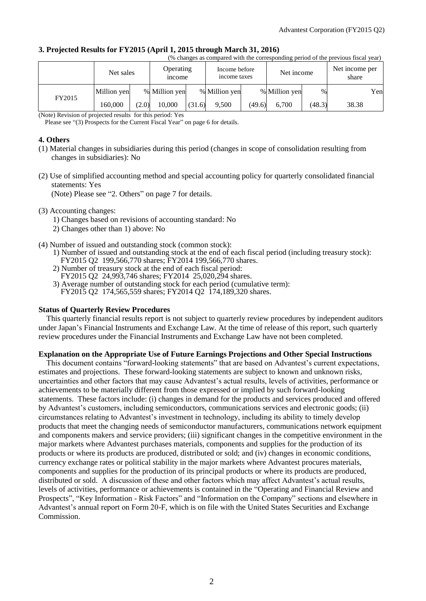#### **3. Projected Results for FY2015 (April 1, 2015 through March 31, 2016)**

|--|

|        | Net sales   |       | <b>Operating</b><br><i>n</i> come |        | Income before<br>income taxes |        | Net income    |        | Net income per<br>share |     |
|--------|-------------|-------|-----------------------------------|--------|-------------------------------|--------|---------------|--------|-------------------------|-----|
|        | Million yen |       | % Million yen                     |        | % Million yen                 |        | % Million yen | $\%$   |                         | Yen |
| FY2015 | 160.000     | (2.0) | 10.000                            | (31.6) | 9,500                         | (49.6) | 6.700         | (48.3) | 38.38                   |     |

(Note) Revision of projected results for this period: Yes

Please see "(3) Prospects for the Current Fiscal Year" on page 6 for details.

#### **4. Others**

- (1) Material changes in subsidiaries during this period (changes in scope of consolidation resulting from changes in subsidiaries): No
- (2) Use of simplified accounting method and special accounting policy for quarterly consolidated financial statements: Yes

(Note) Please see "2. Others" on page 7 for details.

- (3) Accounting changes:
	- 1) Changes based on revisions of accounting standard: No
	- 2) Changes other than 1) above: No
- (4) Number of issued and outstanding stock (common stock):
	- 1) Number of issued and outstanding stock at the end of each fiscal period (including treasury stock): FY2015 Q2 199,566,770 shares; FY2014 199,566,770 shares.
	- 2) Number of treasury stock at the end of each fiscal period:
	- FY2015 Q2 24,993,746 shares; FY2014 25,020,294 shares.
	- 3) Average number of outstanding stock for each period (cumulative term): FY2015 Q2 174,565,559 shares; FY2014 Q2 174,189,320 shares.

#### **Status of Quarterly Review Procedures**

This quarterly financial results report is not subject to quarterly review procedures by independent auditors under Japan's Financial Instruments and Exchange Law. At the time of release of this report, such quarterly review procedures under the Financial Instruments and Exchange Law have not been completed.

#### **Explanation on the Appropriate Use of Future Earnings Projections and Other Special Instructions**

This document contains "forward-looking statements" that are based on Advantest's current expectations, estimates and projections. These forward-looking statements are subject to known and unknown risks, uncertainties and other factors that may cause Advantest's actual results, levels of activities, performance or achievements to be materially different from those expressed or implied by such forward-looking statements. These factors include: (i) changes in demand for the products and services produced and offered by Advantest's customers, including semiconductors, communications services and electronic goods; (ii) circumstances relating to Advantest's investment in technology, including its ability to timely develop products that meet the changing needs of semiconductor manufacturers, communications network equipment and components makers and service providers; (iii) significant changes in the competitive environment in the major markets where Advantest purchases materials, components and supplies for the production of its products or where its products are produced, distributed or sold; and (iv) changes in economic conditions, currency exchange rates or political stability in the major markets where Advantest procures materials, components and supplies for the production of its principal products or where its products are produced, distributed or sold. A discussion of these and other factors which may affect Advantest's actual results, levels of activities, performance or achievements is contained in the "Operating and Financial Review and Prospects", "Key Information - Risk Factors" and "Information on the Company" sections and elsewhere in Advantest's annual report on Form 20-F, which is on file with the United States Securities and Exchange Commission.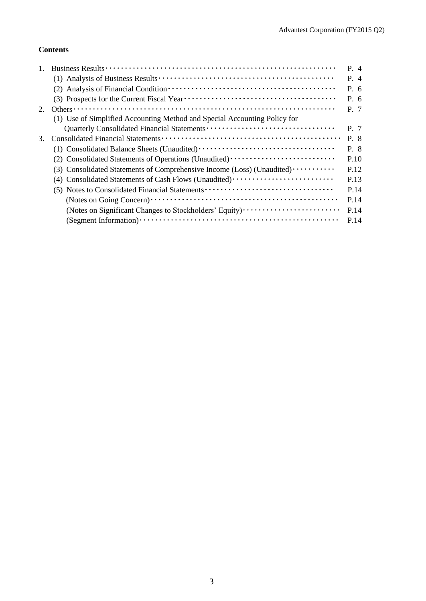## **Contents**

|    |                                                                                                                                                        | $P_4$     |
|----|--------------------------------------------------------------------------------------------------------------------------------------------------------|-----------|
|    |                                                                                                                                                        | $P_4$     |
|    |                                                                                                                                                        | $P_{0.6}$ |
|    |                                                                                                                                                        | $P_{0.6}$ |
| 2. | Others $\cdots$ $\cdots$ $\cdots$ $\cdots$ $\cdots$ $\cdots$ $\cdots$ $\cdots$ $\cdots$ $\cdots$ $\cdots$ $\cdots$ $\cdots$ $\cdots$ $\cdots$ $\cdots$ | P. 7      |
|    | (1) Use of Simplified Accounting Method and Special Accounting Policy for                                                                              |           |
|    |                                                                                                                                                        | P. 7      |
| 3. |                                                                                                                                                        | P. 8      |
|    |                                                                                                                                                        | P. 8      |
|    | (2) Consolidated Statements of Operations (Unaudited)                                                                                                  | P.10      |
|    | (3) Consolidated Statements of Comprehensive Income (Loss) (Unaudited)                                                                                 | P.12      |
|    | (4) Consolidated Statements of Cash Flows (Unaudited)                                                                                                  | P.13      |
|    | (5) Notes to Consolidated Financial Statements                                                                                                         | P.14      |
|    |                                                                                                                                                        | P.14      |
|    | (Notes on Significant Changes to Stockholders' Equity)                                                                                                 | P.14      |
|    |                                                                                                                                                        | P.14      |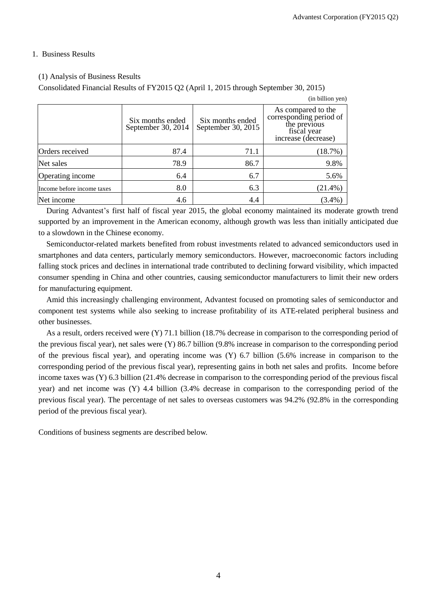### 1. Business Results

### (1) Analysis of Business Results

Consolidated Financial Results of FY2015 Q2 (April 1, 2015 through September 30, 2015)

|                            |                                        |                                        | (in billion yen)                                                                                    |
|----------------------------|----------------------------------------|----------------------------------------|-----------------------------------------------------------------------------------------------------|
|                            | Six months ended<br>September 30, 2014 | Six months ended<br>September 30, 2015 | As compared to the<br>corresponding period of<br>the previous<br>fiscal year<br>increase (decrease) |
| Orders received            | 87.4                                   | 71.1                                   | (18.7%)                                                                                             |
| Net sales                  | 78.9                                   | 86.7                                   | 9.8%                                                                                                |
| Operating income           | 6.4                                    | 6.7                                    | 5.6%                                                                                                |
| Income before income taxes | 8.0                                    | 6.3                                    | $(21.4\%)$                                                                                          |
| Net income                 | 4.6                                    | 4.4                                    | $(3.4\%)$                                                                                           |

During Advantest's first half of fiscal year 2015, the global economy maintained its moderate growth trend supported by an improvement in the American economy, although growth was less than initially anticipated due to a slowdown in the Chinese economy.

Semiconductor-related markets benefited from robust investments related to advanced semiconductors used in smartphones and data centers, particularly memory semiconductors. However, macroeconomic factors including falling stock prices and declines in international trade contributed to declining forward visibility, which impacted consumer spending in China and other countries, causing semiconductor manufacturers to limit their new orders for manufacturing equipment.

Amid this increasingly challenging environment, Advantest focused on promoting sales of semiconductor and component test systems while also seeking to increase profitability of its ATE-related peripheral business and other businesses.

As a result, orders received were (Y) 71.1 billion (18.7% decrease in comparison to the corresponding period of the previous fiscal year), net sales were (Y) 86.7 billion (9.8% increase in comparison to the corresponding period of the previous fiscal year), and operating income was (Y) 6.7 billion (5.6% increase in comparison to the corresponding period of the previous fiscal year), representing gains in both net sales and profits. Income before income taxes was (Y) 6.3 billion (21.4% decrease in comparison to the corresponding period of the previous fiscal year) and net income was (Y) 4.4 billion (3.4% decrease in comparison to the corresponding period of the previous fiscal year). The percentage of net sales to overseas customers was 94.2% (92.8% in the corresponding period of the previous fiscal year).

Conditions of business segments are described below.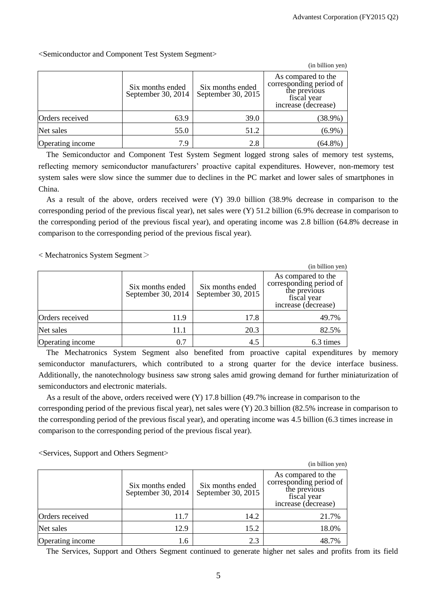<Semiconductor and Component Test System Segment>

|                  |                                        |                                        | (in billion yen)                                                                                    |
|------------------|----------------------------------------|----------------------------------------|-----------------------------------------------------------------------------------------------------|
|                  | Six months ended<br>September 30, 2014 | Six months ended<br>September 30, 2015 | As compared to the<br>corresponding period of<br>the previous<br>fiscal year<br>increase (decrease) |
| Orders received  | 63.9                                   | 39.0                                   | $(38.9\%)$                                                                                          |
| Net sales        | 55.0                                   | 51.2                                   | $(6.9\%)$                                                                                           |
| Operating income | 7.9                                    | 2.8                                    | $(64.8\%)$                                                                                          |

The Semiconductor and Component Test System Segment logged strong sales of memory test systems, reflecting memory semiconductor manufacturers' proactive capital expenditures. However, non-memory test system sales were slow since the summer due to declines in the PC market and lower sales of smartphones in China.

As a result of the above, orders received were (Y) 39.0 billion (38.9% decrease in comparison to the corresponding period of the previous fiscal year), net sales were (Y) 51.2 billion (6.9% decrease in comparison to the corresponding period of the previous fiscal year), and operating income was 2.8 billion (64.8% decrease in comparison to the corresponding period of the previous fiscal year).

 $<$  Mechatronics System Segment $>$ 

|                  |                                        |                                        | (in billion yen)                                                                                    |
|------------------|----------------------------------------|----------------------------------------|-----------------------------------------------------------------------------------------------------|
|                  | Six months ended<br>September 30, 2014 | Six months ended<br>September 30, 2015 | As compared to the<br>corresponding period of<br>the previous<br>fiscal year<br>increase (decrease) |
| Orders received  | 11.9                                   | 17.8                                   | 49.7%                                                                                               |
| Net sales        | 11.1                                   | 20.3                                   | 82.5%                                                                                               |
| Operating income | 0.7                                    | 4.5                                    | 6.3 times                                                                                           |

The Mechatronics System Segment also benefited from proactive capital expenditures by memory semiconductor manufacturers, which contributed to a strong quarter for the device interface business. Additionally, the nanotechnology business saw strong sales amid growing demand for further miniaturization of semiconductors and electronic materials.

As a result of the above, orders received were (Y) 17.8 billion (49.7% increase in comparison to the corresponding period of the previous fiscal year), net sales were (Y) 20.3 billion (82.5% increase in comparison to the corresponding period of the previous fiscal year), and operating income was 4.5 billion (6.3 times increase in comparison to the corresponding period of the previous fiscal year).

<Services, Support and Others Segment>

|                  |                                        |                                        | (in billion yen)                                                                                    |
|------------------|----------------------------------------|----------------------------------------|-----------------------------------------------------------------------------------------------------|
|                  | Six months ended<br>September 30, 2014 | Six months ended<br>September 30, 2015 | As compared to the<br>corresponding period of<br>the previous<br>fiscal year<br>increase (decrease) |
| Orders received  | 11.7                                   | 14.2                                   | 21.7%                                                                                               |
| Net sales        | 12.9                                   | 15.2                                   | 18.0%                                                                                               |
| Operating income | 1.6                                    | 2.3                                    | 48.7%                                                                                               |

The Services, Support and Others Segment continued to generate higher net sales and profits from its field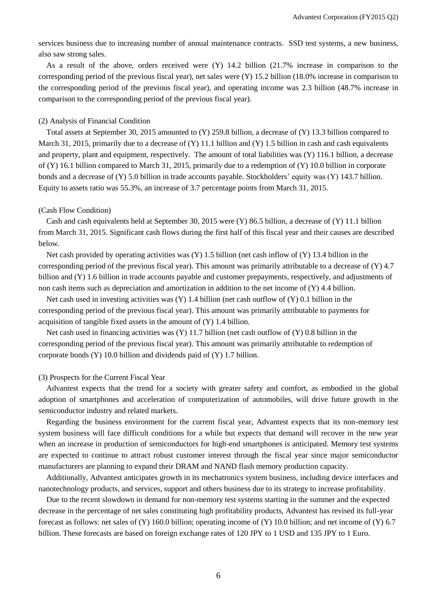services business due to increasing number of annual maintenance contracts. SSD test systems, a new business, also saw strong sales.

As a result of the above, orders received were (Y) 14.2 billion (21.7% increase in comparison to the corresponding period of the previous fiscal year), net sales were (Y) 15.2 billion (18.0% increase in comparison to the corresponding period of the previous fiscal year), and operating income was 2.3 billion (48.7% increase in comparison to the corresponding period of the previous fiscal year).

#### (2) Analysis of Financial Condition

Total assets at September 30, 2015 amounted to (Y) 259.8 billion, a decrease of (Y) 13.3 billion compared to March 31, 2015, primarily due to a decrease of  $(Y)$  11.1 billion and  $(Y)$  1.5 billion in cash and cash equivalents and property, plant and equipment, respectively. The amount of total liabilities was (Y) 116.1 billion, a decrease of (Y) 16.1 billion compared to March 31, 2015, primarily due to a redemption of (Y) 10.0 billion in corporate bonds and a decrease of (Y) 5.0 billion in trade accounts payable. Stockholders' equity was (Y) 143.7 billion. Equity to assets ratio was 55.3%, an increase of 3.7 percentage points from March 31, 2015.

#### (Cash Flow Condition)

Cash and cash equivalents held at September 30, 2015 were (Y) 86.5 billion, a decrease of (Y) 11.1 billion from March 31, 2015. Significant cash flows during the first half of this fiscal year and their causes are described below.

Net cash provided by operating activities was  $(Y)$  1.5 billion (net cash inflow of  $(Y)$  13.4 billion in the corresponding period of the previous fiscal year). This amount was primarily attributable to a decrease of (Y) 4.7 billion and (Y) 1.6 billion in trade accounts payable and customer prepayments, respectively, and adjustments of non cash items such as depreciation and amortization in addition to the net income of (Y) 4.4 billion.

Net cash used in investing activities was (Y) 1.4 billion (net cash outflow of (Y) 0.1 billion in the corresponding period of the previous fiscal year). This amount was primarily attributable to payments for acquisition of tangible fixed assets in the amount of (Y) 1.4 billion.

Net cash used in financing activities was  $(Y)$  11.7 billion (net cash outflow of  $(Y)$ ) 0.8 billion in the corresponding period of the previous fiscal year). This amount was primarily attributable to redemption of corporate bonds (Y) 10.0 billion and dividends paid of (Y) 1.7 billion.

#### (3) Prospects for the Current Fiscal Year

Advantest expects that the trend for a society with greater safety and comfort, as embodied in the global adoption of smartphones and acceleration of computerization of automobiles, will drive future growth in the semiconductor industry and related markets.

Regarding the business environment for the current fiscal year, Advantest expects that its non-memory test system business will face difficult conditions for a while but expects that demand will recover in the new year when an increase in production of semiconductors for high-end smartphones is anticipated. Memory test systems are expected to continue to attract robust customer interest through the fiscal year since major semiconductor manufacturers are planning to expand their DRAM and NAND flash memory production capacity.

Additionally, Advantest anticipates growth in its mechatronics system business, including device interfaces and nanotechnology products, and services, support and others business due to its strategy to increase profitability.

Due to the recent slowdown in demand for non-memory test systems starting in the summer and the expected decrease in the percentage of net sales constituting high profitability products, Advantest has revised its full-year forecast as follows: net sales of  $(Y)$  160.0 billion; operating income of  $(Y)$  10.0 billion; and net income of  $(Y)$  6.7 billion. These forecasts are based on foreign exchange rates of 120 JPY to 1 USD and 135 JPY to 1 Euro.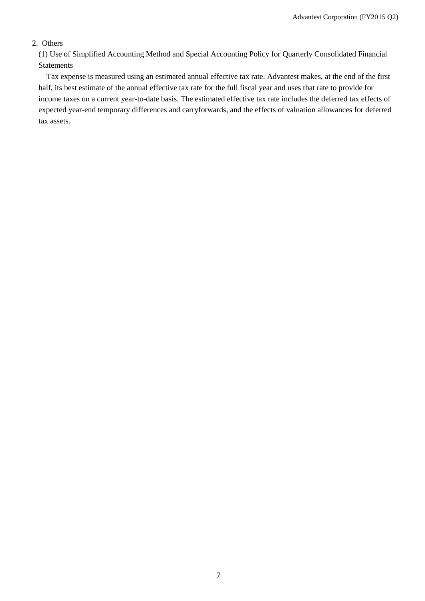## 2. Others

(1) Use of Simplified Accounting Method and Special Accounting Policy for Quarterly Consolidated Financial Statements

Tax expense is measured using an estimated annual effective tax rate. Advantest makes, at the end of the first half, its best estimate of the annual effective tax rate for the full fiscal year and uses that rate to provide for income taxes on a current year-to-date basis. The estimated effective tax rate includes the deferred tax effects of expected year-end temporary differences and carryforwards, and the effects of valuation allowances for deferred tax assets.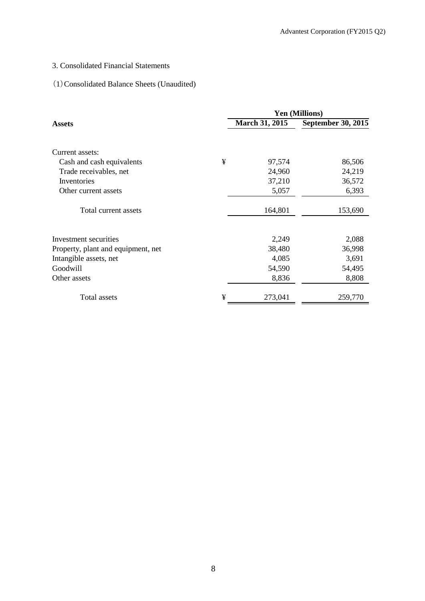# 3. Consolidated Financial Statements

# (1)Consolidated Balance Sheets (Unaudited)

|                                    |   | <b>Yen (Millions)</b> |                           |  |  |
|------------------------------------|---|-----------------------|---------------------------|--|--|
| <b>Assets</b>                      |   | <b>March 31, 2015</b> | <b>September 30, 2015</b> |  |  |
| Current assets:                    |   |                       |                           |  |  |
| Cash and cash equivalents          | ¥ | 97,574                | 86,506                    |  |  |
| Trade receivables, net             |   | 24,960                | 24,219                    |  |  |
| Inventories                        |   | 37,210                | 36,572                    |  |  |
| Other current assets               |   | 5,057                 | 6,393                     |  |  |
| Total current assets               |   | 164,801               | 153,690                   |  |  |
| Investment securities              |   | 2,249                 | 2,088                     |  |  |
| Property, plant and equipment, net |   | 38,480                | 36,998                    |  |  |
| Intangible assets, net             |   | 4,085                 | 3,691                     |  |  |
| Goodwill                           |   | 54,590                | 54,495                    |  |  |
| Other assets                       |   | 8,836                 | 8,808                     |  |  |
| Total assets                       | ¥ | 273,041               | 259,770                   |  |  |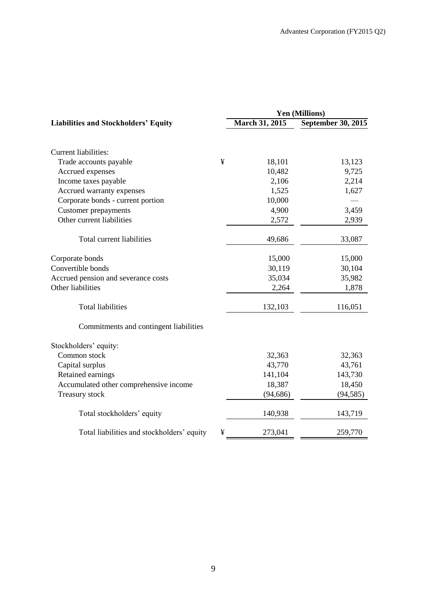| <b>Yen (Millions)</b> |                                                                                              |  |  |
|-----------------------|----------------------------------------------------------------------------------------------|--|--|
| <b>March 31, 2015</b> | September 30, 2015                                                                           |  |  |
|                       |                                                                                              |  |  |
|                       |                                                                                              |  |  |
|                       | 13,123                                                                                       |  |  |
|                       | 9,725                                                                                        |  |  |
|                       | 2,214                                                                                        |  |  |
|                       | 1,627                                                                                        |  |  |
|                       |                                                                                              |  |  |
|                       | 3,459                                                                                        |  |  |
|                       | 2,939                                                                                        |  |  |
| 49,686                | 33,087                                                                                       |  |  |
|                       | 15,000                                                                                       |  |  |
|                       | 30,104                                                                                       |  |  |
|                       | 35,982                                                                                       |  |  |
| 2,264                 | 1,878                                                                                        |  |  |
| 132,103               | 116,051                                                                                      |  |  |
|                       |                                                                                              |  |  |
|                       |                                                                                              |  |  |
| 32,363                | 32,363                                                                                       |  |  |
| 43,770                | 43,761                                                                                       |  |  |
| 141,104               | 143,730                                                                                      |  |  |
| 18,387                | 18,450                                                                                       |  |  |
| (94, 686)             | (94, 585)                                                                                    |  |  |
| 140,938               | 143,719                                                                                      |  |  |
| 273,041               | 259,770                                                                                      |  |  |
|                       | 18,101<br>10,482<br>2,106<br>1,525<br>10,000<br>4,900<br>2,572<br>15,000<br>30,119<br>35,034 |  |  |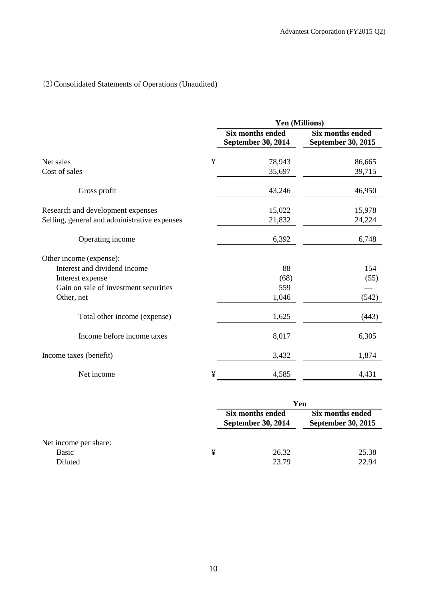# (2)Consolidated Statements of Operations (Unaudited)

|                                              |   | Yen (Millions)                                |                                                      |
|----------------------------------------------|---|-----------------------------------------------|------------------------------------------------------|
|                                              |   | Six months ended<br><b>September 30, 2014</b> | <b>Six months ended</b><br><b>September 30, 2015</b> |
| Net sales                                    | ¥ | 78,943                                        | 86,665                                               |
| Cost of sales                                |   | 35,697                                        | 39,715                                               |
| Gross profit                                 |   | 43,246                                        | 46,950                                               |
| Research and development expenses            |   | 15,022                                        | 15,978                                               |
| Selling, general and administrative expenses |   | 21,832                                        | 24,224                                               |
| Operating income                             |   | 6,392                                         | 6,748                                                |
| Other income (expense):                      |   |                                               |                                                      |
| Interest and dividend income                 |   | 88                                            | 154                                                  |
| Interest expense                             |   | (68)                                          | (55)                                                 |
| Gain on sale of investment securities        |   | 559                                           |                                                      |
| Other, net                                   |   | 1,046                                         | (542)                                                |
| Total other income (expense)                 |   | 1,625                                         | (443)                                                |
| Income before income taxes                   |   | 8,017                                         | 6,305                                                |
| Income taxes (benefit)                       |   | 3,432                                         | 1,874                                                |
| Net income                                   | ¥ | 4,585                                         | 4,431                                                |

|                       |   | Yen                                           |                                               |  |
|-----------------------|---|-----------------------------------------------|-----------------------------------------------|--|
|                       |   | Six months ended<br><b>September 30, 2014</b> | Six months ended<br><b>September 30, 2015</b> |  |
| Net income per share: |   |                                               |                                               |  |
| Basic                 | ¥ | 26.32                                         | 25.38                                         |  |
| Diluted               |   | 23.79                                         | 22.94                                         |  |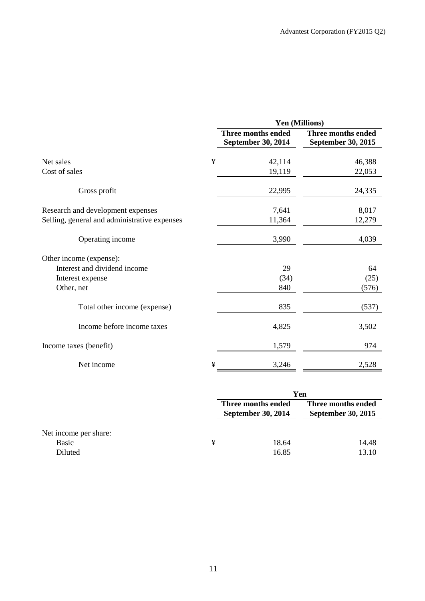|                                              |   |                                          | Yen (Millions)                           |
|----------------------------------------------|---|------------------------------------------|------------------------------------------|
|                                              |   | Three months ended<br>September 30, 2014 | Three months ended<br>September 30, 2015 |
| Net sales                                    | ¥ | 42,114                                   | 46,388                                   |
| Cost of sales                                |   | 19,119                                   | 22,053                                   |
| Gross profit                                 |   | 22,995                                   | 24,335                                   |
| Research and development expenses            |   | 7,641                                    | 8,017                                    |
| Selling, general and administrative expenses |   | 11,364                                   | 12,279                                   |
| Operating income                             |   | 3,990                                    | 4,039                                    |
| Other income (expense):                      |   |                                          |                                          |
| Interest and dividend income                 |   | 29                                       | 64                                       |
| Interest expense                             |   | (34)                                     | (25)                                     |
| Other, net                                   |   | 840                                      | (576)                                    |
| Total other income (expense)                 |   | 835                                      | (537)                                    |
| Income before income taxes                   |   | 4,825                                    | 3,502                                    |
| Income taxes (benefit)                       |   | 1,579                                    | 974                                      |
| Net income                                   | ¥ | 3,246                                    | 2,528                                    |

|                                           |   |                                                 | Yen                                             |  |  |
|-------------------------------------------|---|-------------------------------------------------|-------------------------------------------------|--|--|
|                                           |   | Three months ended<br><b>September 30, 2014</b> | Three months ended<br><b>September 30, 2015</b> |  |  |
| Net income per share:<br>Basic<br>Diluted | ¥ | 18.64<br>16.85                                  | 14.48<br>13.10                                  |  |  |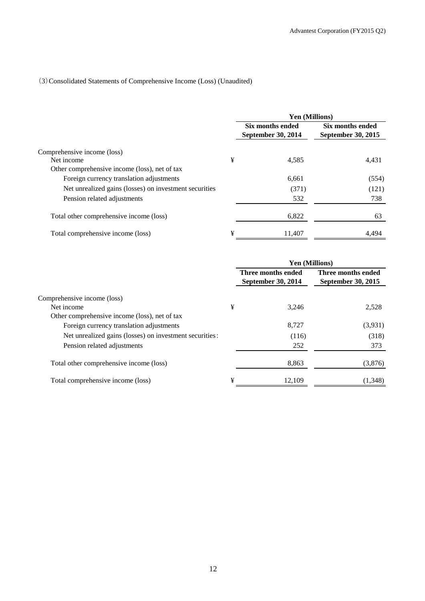# (3)Consolidated Statements of Comprehensive Income (Loss) (Unaudited)

|                                                        |   | Yen (Millions)                                |                                        |  |  |
|--------------------------------------------------------|---|-----------------------------------------------|----------------------------------------|--|--|
|                                                        |   | Six months ended<br><b>September 30, 2014</b> | Six months ended<br>September 30, 2015 |  |  |
| Comprehensive income (loss)                            |   |                                               |                                        |  |  |
| Net income                                             | ¥ | 4,585                                         | 4,431                                  |  |  |
| Other comprehensive income (loss), net of tax          |   |                                               |                                        |  |  |
| Foreign currency translation adjustments               |   | 6,661                                         | (554)                                  |  |  |
| Net unrealized gains (losses) on investment securities |   | (371)                                         | (121)                                  |  |  |
| Pension related adjustments                            |   | 532                                           | 738                                    |  |  |
| Total other comprehensive income (loss)                |   | 6,822                                         | 63                                     |  |  |
| Total comprehensive income (loss)                      | ¥ | 11.407                                        | 4,494                                  |  |  |

|                                                         |   | <b>Yen (Millions)</b>                    |                                                 |
|---------------------------------------------------------|---|------------------------------------------|-------------------------------------------------|
|                                                         |   | Three months ended<br>September 30, 2014 | Three months ended<br><b>September 30, 2015</b> |
| Comprehensive income (loss)                             |   |                                          |                                                 |
| Net income                                              | ¥ | 3.246                                    | 2,528                                           |
| Other comprehensive income (loss), net of tax           |   |                                          |                                                 |
| Foreign currency translation adjustments                |   | 8,727                                    | (3,931)                                         |
| Net unrealized gains (losses) on investment securities: |   | (116)                                    | (318)                                           |
| Pension related adjustments                             |   | 252                                      | 373                                             |
| Total other comprehensive income (loss)                 |   | 8,863                                    | (3,876)                                         |
| Total comprehensive income (loss)                       | ¥ | 12.109                                   | (1,348)                                         |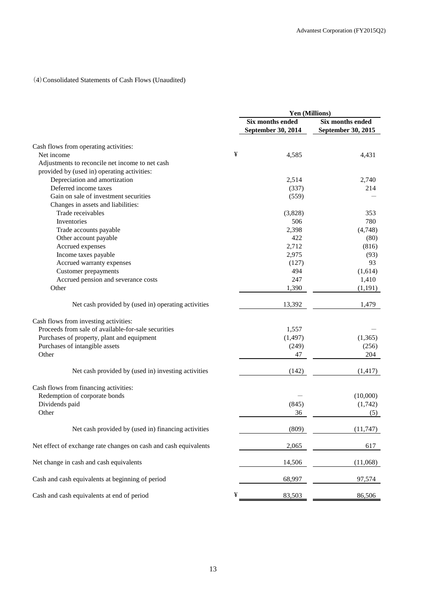# (4)Consolidated Statements of Cash Flows (Unaudited)

|                                                                  | Yen (Millions)     |                    |  |
|------------------------------------------------------------------|--------------------|--------------------|--|
|                                                                  | Six months ended   | Six months ended   |  |
|                                                                  | September 30, 2014 | September 30, 2015 |  |
| Cash flows from operating activities:                            |                    |                    |  |
| Net income                                                       | ¥<br>4,585         | 4,431              |  |
| Adjustments to reconcile net income to net cash                  |                    |                    |  |
| provided by (used in) operating activities:                      |                    |                    |  |
| Depreciation and amortization                                    | 2,514              | 2,740              |  |
| Deferred income taxes                                            | (337)              | 214                |  |
| Gain on sale of investment securities                            | (559)              |                    |  |
| Changes in assets and liabilities:                               |                    |                    |  |
| Trade receivables                                                | (3,828)            | 353                |  |
| Inventories                                                      | 506                | 780                |  |
|                                                                  |                    |                    |  |
| Trade accounts payable                                           | 2,398              | (4,748)            |  |
| Other account payable                                            | 422                | (80)               |  |
| Accrued expenses                                                 | 2,712              | (816)              |  |
| Income taxes payable                                             | 2,975              | (93)               |  |
| Accrued warranty expenses                                        | (127)              | 93                 |  |
| Customer prepayments                                             | 494                | (1,614)            |  |
| Accrued pension and severance costs                              | 247                | 1,410              |  |
| Other                                                            | 1,390              | (1, 191)           |  |
| Net cash provided by (used in) operating activities              | 13,392             | 1,479              |  |
| Cash flows from investing activities:                            |                    |                    |  |
| Proceeds from sale of available-for-sale securities              | 1,557              |                    |  |
| Purchases of property, plant and equipment                       | (1, 497)           | (1,365)            |  |
| Purchases of intangible assets                                   | (249)              | (256)              |  |
| Other                                                            | 47                 | 204                |  |
| Net cash provided by (used in) investing activities              | (142)              | (1, 417)           |  |
| Cash flows from financing activities:                            |                    |                    |  |
| Redemption of corporate bonds                                    |                    | (10,000)           |  |
| Dividends paid                                                   | (845)              | (1,742)            |  |
| Other                                                            | 36                 | (5)                |  |
| Net cash provided by (used in) financing activities              | (809)              | (11, 747)          |  |
| Net effect of exchange rate changes on cash and cash equivalents | 2,065              | 617                |  |
| Net change in cash and cash equivalents                          | 14,506             | (11,068)           |  |
| Cash and cash equivalents at beginning of period                 | 68,997             | 97,574             |  |
| Cash and cash equivalents at end of period                       | ¥<br>83,503        | 86,506             |  |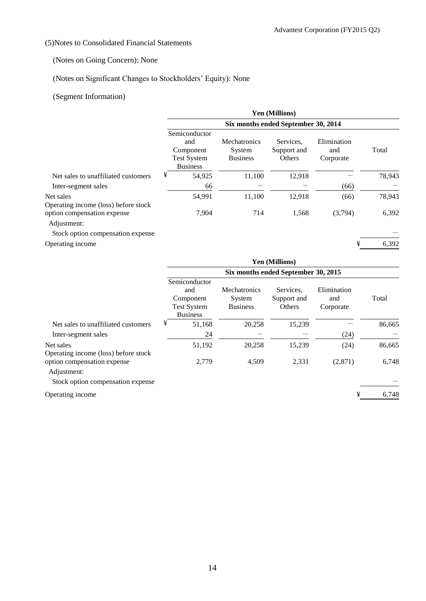## (5)Notes to Consolidated Financial Statements

## (Notes on Going Concern): None

# (Notes on Significant Changes to Stockholders' Equity): None

# (Segment Information)

|                                                   | <b>Yen (Millions)</b>                                                      |                                           |                                    |                                 |        |  |  |  |
|---------------------------------------------------|----------------------------------------------------------------------------|-------------------------------------------|------------------------------------|---------------------------------|--------|--|--|--|
|                                                   | Six months ended September 30, 2014                                        |                                           |                                    |                                 |        |  |  |  |
|                                                   | Semiconductor<br>and<br>Component<br><b>Test System</b><br><b>Business</b> | Mechatronics<br>System<br><b>Business</b> | Services.<br>Support and<br>Others | Elimination<br>and<br>Corporate | Total  |  |  |  |
| Net sales to unaffiliated customers               | ¥<br>54,925                                                                | 11,100                                    | 12,918                             |                                 | 78,943 |  |  |  |
| Inter-segment sales                               | 66                                                                         |                                           |                                    | (66)                            |        |  |  |  |
| Net sales<br>Operating income (loss) before stock | 54,991                                                                     | 11,100                                    | 12,918                             | (66)                            | 78,943 |  |  |  |
| option compensation expense<br>Adjustment:        | 7,904                                                                      | 714                                       | 1,568                              | (3,794)                         | 6,392  |  |  |  |
| Stock option compensation expense                 |                                                                            |                                           |                                    | ¥                               | 6,392  |  |  |  |
| Operating income                                  |                                                                            |                                           |                                    |                                 |        |  |  |  |

|                                                   | Yen (Millions)                      |                                                                            |                                                  |                                    |                                 |        |  |
|---------------------------------------------------|-------------------------------------|----------------------------------------------------------------------------|--------------------------------------------------|------------------------------------|---------------------------------|--------|--|
|                                                   | Six months ended September 30, 2015 |                                                                            |                                                  |                                    |                                 |        |  |
|                                                   |                                     | Semiconductor<br>and<br>Component<br><b>Test System</b><br><b>Business</b> | <b>Mechatronics</b><br>System<br><b>Business</b> | Services.<br>Support and<br>Others | Elimination<br>and<br>Corporate | Total  |  |
| Net sales to unaffiliated customers               | ¥                                   | 51,168                                                                     | 20.258                                           | 15,239                             |                                 | 86,665 |  |
| Inter-segment sales                               |                                     | 24                                                                         |                                                  |                                    | (24)                            |        |  |
| Net sales<br>Operating income (loss) before stock |                                     | 51,192                                                                     | 20.258                                           | 15,239                             | (24)                            | 86,665 |  |
| option compensation expense<br>Adjustment:        |                                     | 2,779                                                                      | 4,509                                            | 2,331                              | (2,871)                         | 6,748  |  |

Stock option compensation expense

Operating income  $\frac{4}{3}$  6,748